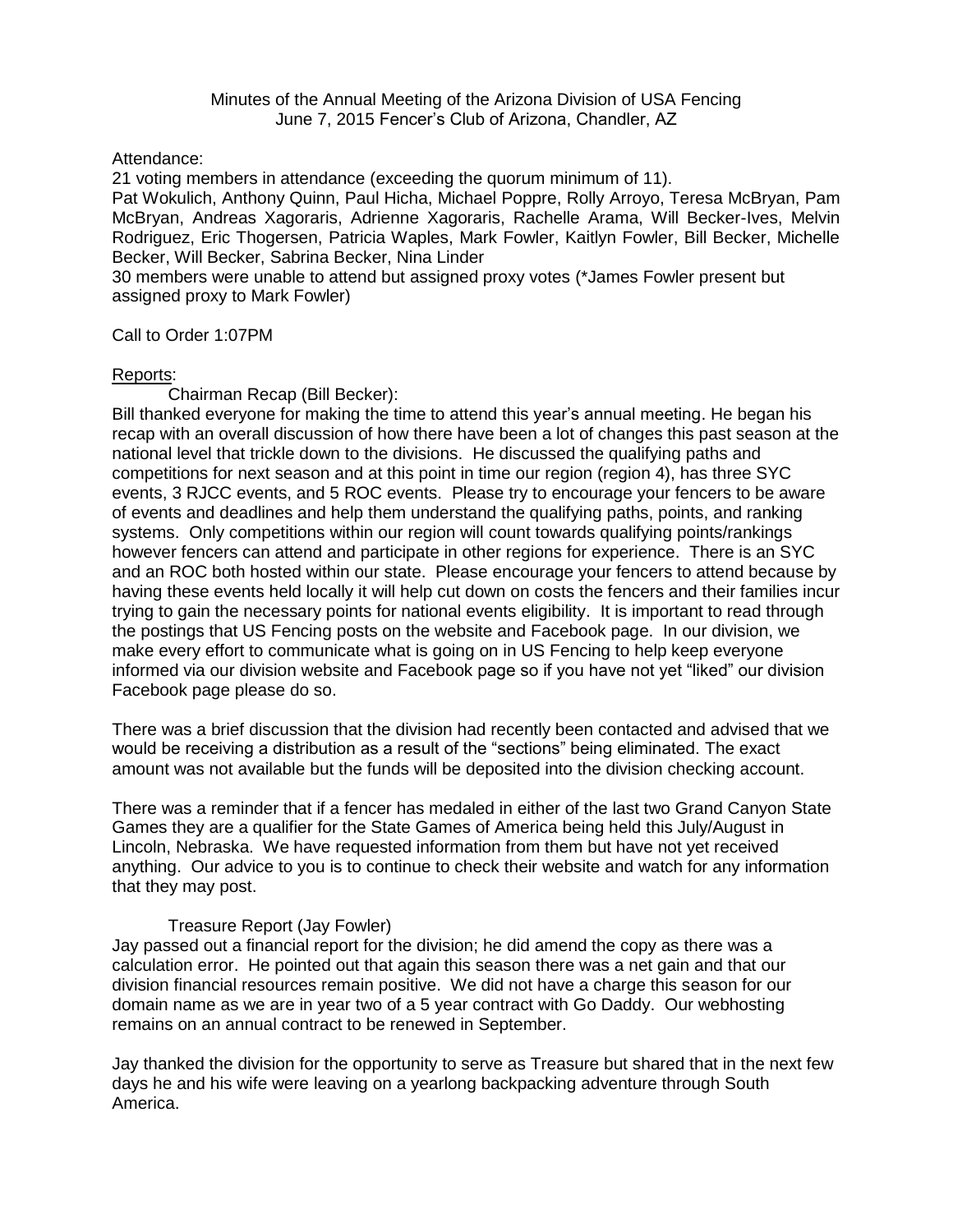Minutes of the Annual Meeting of the Arizona Division of USA Fencing June 7, 2015 Fencer's Club of Arizona, Chandler, AZ

Attendance:

21 voting members in attendance (exceeding the quorum minimum of 11).

Pat Wokulich, Anthony Quinn, Paul Hicha, Michael Poppre, Rolly Arroyo, Teresa McBryan, Pam McBryan, Andreas Xagoraris, Adrienne Xagoraris, Rachelle Arama, Will Becker-Ives, Melvin Rodriguez, Eric Thogersen, Patricia Waples, Mark Fowler, Kaitlyn Fowler, Bill Becker, Michelle Becker, Will Becker, Sabrina Becker, Nina Linder

30 members were unable to attend but assigned proxy votes (\*James Fowler present but assigned proxy to Mark Fowler)

Call to Order 1:07PM

# Reports:

Chairman Recap (Bill Becker):

Bill thanked everyone for making the time to attend this year's annual meeting. He began his recap with an overall discussion of how there have been a lot of changes this past season at the national level that trickle down to the divisions. He discussed the qualifying paths and competitions for next season and at this point in time our region (region 4), has three SYC events, 3 RJCC events, and 5 ROC events. Please try to encourage your fencers to be aware of events and deadlines and help them understand the qualifying paths, points, and ranking systems. Only competitions within our region will count towards qualifying points/rankings however fencers can attend and participate in other regions for experience. There is an SYC and an ROC both hosted within our state. Please encourage your fencers to attend because by having these events held locally it will help cut down on costs the fencers and their families incur trying to gain the necessary points for national events eligibility. It is important to read through the postings that US Fencing posts on the website and Facebook page. In our division, we make every effort to communicate what is going on in US Fencing to help keep everyone informed via our division website and Facebook page so if you have not yet "liked" our division Facebook page please do so.

There was a brief discussion that the division had recently been contacted and advised that we would be receiving a distribution as a result of the "sections" being eliminated. The exact amount was not available but the funds will be deposited into the division checking account.

There was a reminder that if a fencer has medaled in either of the last two Grand Canyon State Games they are a qualifier for the State Games of America being held this July/August in Lincoln, Nebraska. We have requested information from them but have not yet received anything. Our advice to you is to continue to check their website and watch for any information that they may post.

# Treasure Report (Jay Fowler)

Jay passed out a financial report for the division; he did amend the copy as there was a calculation error. He pointed out that again this season there was a net gain and that our division financial resources remain positive. We did not have a charge this season for our domain name as we are in year two of a 5 year contract with Go Daddy. Our webhosting remains on an annual contract to be renewed in September.

Jay thanked the division for the opportunity to serve as Treasure but shared that in the next few days he and his wife were leaving on a yearlong backpacking adventure through South America.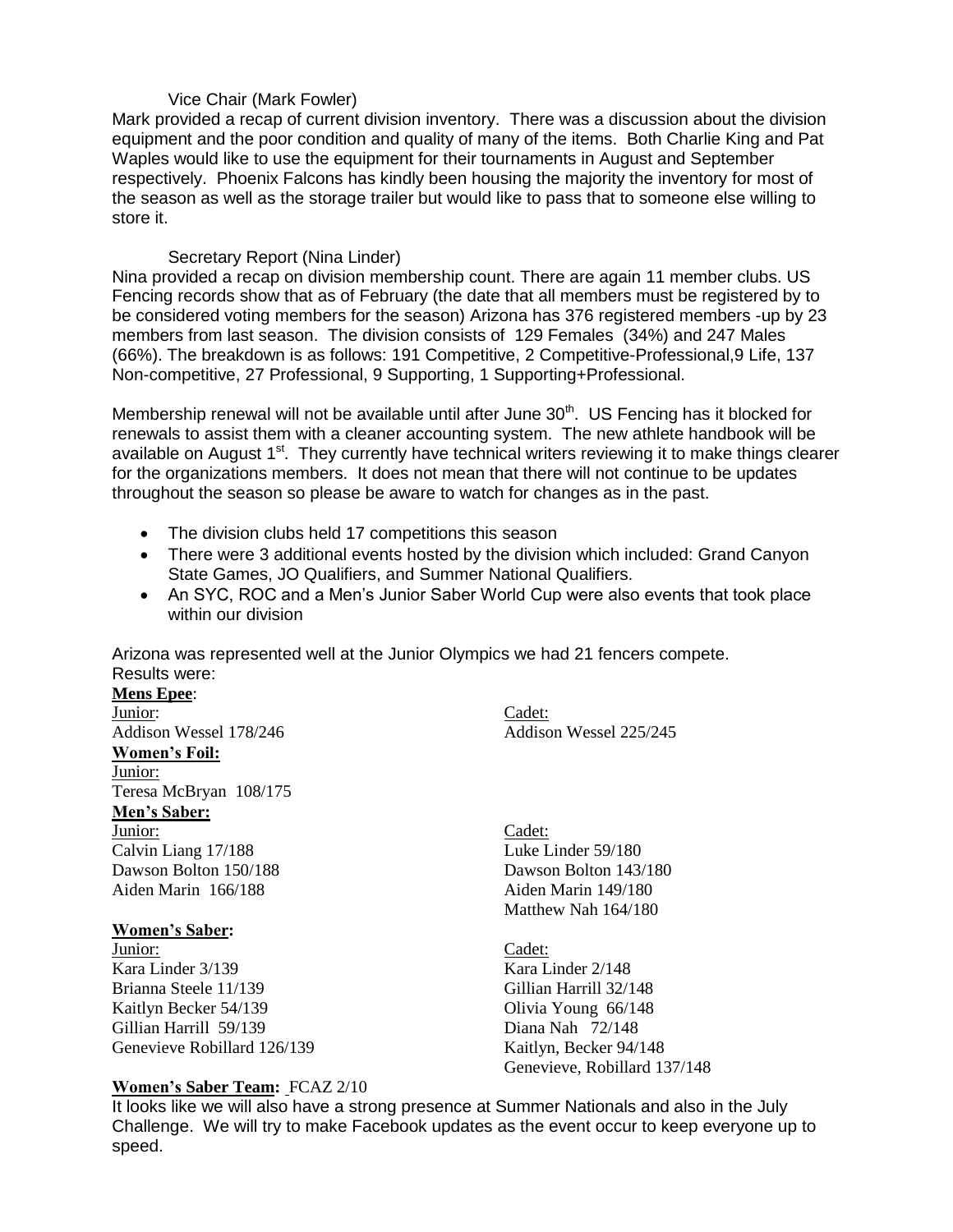# Vice Chair (Mark Fowler)

Mark provided a recap of current division inventory. There was a discussion about the division equipment and the poor condition and quality of many of the items. Both Charlie King and Pat Waples would like to use the equipment for their tournaments in August and September respectively. Phoenix Falcons has kindly been housing the majority the inventory for most of the season as well as the storage trailer but would like to pass that to someone else willing to store it.

# Secretary Report (Nina Linder)

Nina provided a recap on division membership count. There are again 11 member clubs. US Fencing records show that as of February (the date that all members must be registered by to be considered voting members for the season) Arizona has 376 registered members -up by 23 members from last season. The division consists of 129 Females (34%) and 247 Males (66%). The breakdown is as follows: 191 Competitive, 2 Competitive-Professional,9 Life, 137 Non-competitive, 27 Professional, 9 Supporting, 1 Supporting+Professional.

Membership renewal will not be available until after June  $30<sup>th</sup>$ . US Fencing has it blocked for renewals to assist them with a cleaner accounting system. The new athlete handbook will be available on August 1<sup>st</sup>. They currently have technical writers reviewing it to make things clearer for the organizations members. It does not mean that there will not continue to be updates throughout the season so please be aware to watch for changes as in the past.

- The division clubs held 17 competitions this season
- There were 3 additional events hosted by the division which included: Grand Canyon State Games, JO Qualifiers, and Summer National Qualifiers.
- An SYC, ROC and a Men's Junior Saber World Cup were also events that took place within our division

Arizona was represented well at the Junior Olympics we had 21 fencers compete. Results were:

# **Mens Epee**: **Junior:** Cadet: **Women's Foil:** Junior:

Teresa McBryan 108/175

# **Men's Saber:**

Junior: Cadet: Calvin Liang 17/188 Luke Linder 59/180 Dawson Bolton 150/188 Dawson Bolton 143/180 Aiden Marin 166/188 Aiden Marin 149/180

# **Women's Saber:**

**Junior:** Cadet: Kara Linder 3/139 Kara Linder 2/148 Brianna Steele 11/139 Gillian Harrill 32/148 Kaitlyn Becker 54/139 Olivia Young 66/148 Gillian Harrill 59/139 Diana Nah 72/148 Genevieve Robillard 126/139 Kaitlyn, Becker 94/148

# **Women's Saber Team:** FCAZ 2/10

Addison Wessel 178/246 Addison Wessel 225/245

Matthew Nah 164/180

Genevieve, Robillard 137/148

It looks like we will also have a strong presence at Summer Nationals and also in the July Challenge. We will try to make Facebook updates as the event occur to keep everyone up to speed.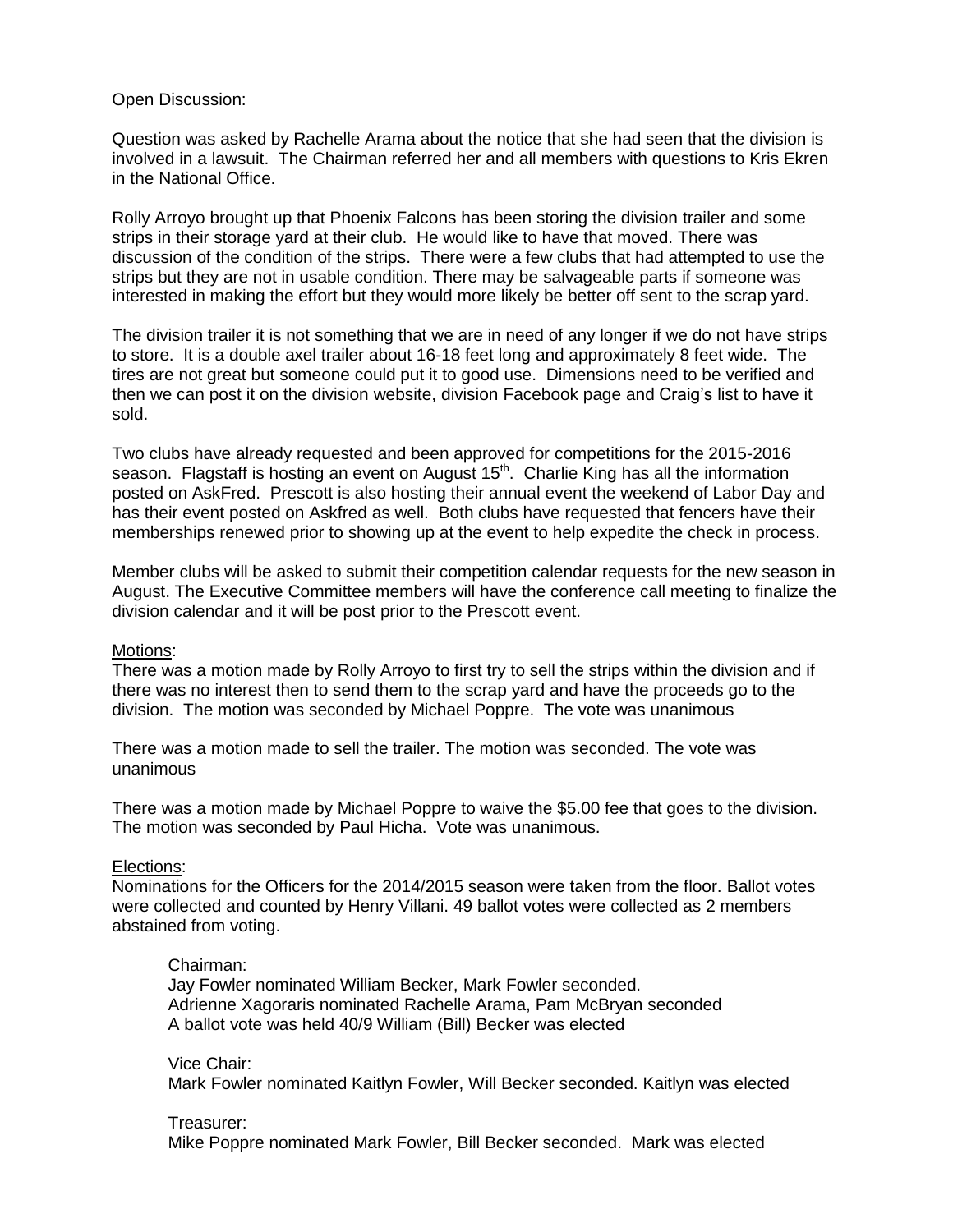# Open Discussion:

Question was asked by Rachelle Arama about the notice that she had seen that the division is involved in a lawsuit. The Chairman referred her and all members with questions to Kris Ekren in the National Office.

Rolly Arroyo brought up that Phoenix Falcons has been storing the division trailer and some strips in their storage yard at their club. He would like to have that moved. There was discussion of the condition of the strips. There were a few clubs that had attempted to use the strips but they are not in usable condition. There may be salvageable parts if someone was interested in making the effort but they would more likely be better off sent to the scrap yard.

The division trailer it is not something that we are in need of any longer if we do not have strips to store. It is a double axel trailer about 16-18 feet long and approximately 8 feet wide. The tires are not great but someone could put it to good use. Dimensions need to be verified and then we can post it on the division website, division Facebook page and Craig's list to have it sold.

Two clubs have already requested and been approved for competitions for the 2015-2016 season. Flagstaff is hosting an event on August 15<sup>th</sup>. Charlie King has all the information posted on AskFred. Prescott is also hosting their annual event the weekend of Labor Day and has their event posted on Askfred as well. Both clubs have requested that fencers have their memberships renewed prior to showing up at the event to help expedite the check in process.

Member clubs will be asked to submit their competition calendar requests for the new season in August. The Executive Committee members will have the conference call meeting to finalize the division calendar and it will be post prior to the Prescott event.

### Motions:

There was a motion made by Rolly Arroyo to first try to sell the strips within the division and if there was no interest then to send them to the scrap yard and have the proceeds go to the division. The motion was seconded by Michael Poppre. The vote was unanimous

There was a motion made to sell the trailer. The motion was seconded. The vote was unanimous

There was a motion made by Michael Poppre to waive the \$5.00 fee that goes to the division. The motion was seconded by Paul Hicha. Vote was unanimous.

### Elections:

Nominations for the Officers for the 2014/2015 season were taken from the floor. Ballot votes were collected and counted by Henry Villani. 49 ballot votes were collected as 2 members abstained from voting.

### Chairman:

Jay Fowler nominated William Becker, Mark Fowler seconded. Adrienne Xagoraris nominated Rachelle Arama, Pam McBryan seconded A ballot vote was held 40/9 William (Bill) Becker was elected

Vice Chair: Mark Fowler nominated Kaitlyn Fowler, Will Becker seconded. Kaitlyn was elected

# Treasurer:

Mike Poppre nominated Mark Fowler, Bill Becker seconded. Mark was elected